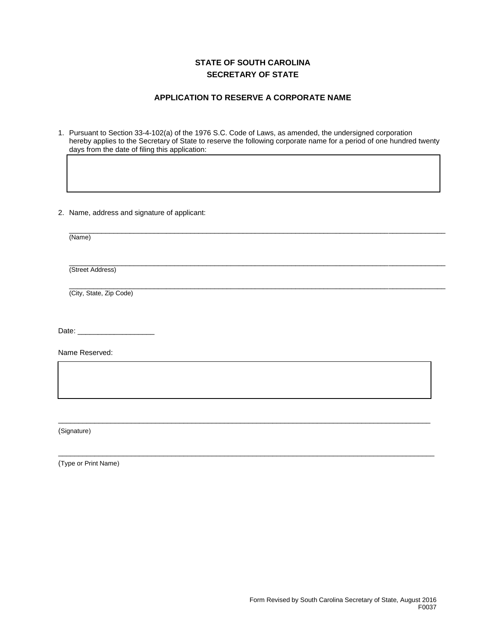## **STATE OF SOUTH CAROLINA SECRETARY OF STATE**

## **APPLICATION TO RESERVE A CORPORATE NAME**

1. Pursuant to Section 33-4-102(a) of the 1976 S.C. Code of Laws, as amended, the undersigned corporation hereby applies to the Secretary of State to reserve the following corporate name for a period of one hundred twenty days from the date of filing this application:

2. Name, address and signature of applicant:

| (Name)                  |  |  |
|-------------------------|--|--|
|                         |  |  |
| (Street Address)        |  |  |
| (City, State, Zip Code) |  |  |

\_\_\_\_\_\_\_\_\_\_\_\_\_\_\_\_\_\_\_\_\_\_\_\_\_\_\_\_\_\_\_\_\_\_\_\_\_\_\_\_\_\_\_\_\_\_\_\_\_\_\_\_\_\_\_\_\_\_\_\_\_\_\_\_\_\_\_\_\_\_\_\_\_\_\_\_\_\_\_\_\_\_\_\_\_\_\_\_\_\_\_\_

 $\_$  . The contribution of the contribution of the contribution of the contribution of the contribution of  $\mathcal{L}_1$ 

 $\overline{a}$  , and the contribution of the contribution of the contribution of the contribution of the contribution of the contribution of the contribution of the contribution of the contribution of the contribution of the co

Date:

Name Reserved:

(Signature)

(Type or Print Name)